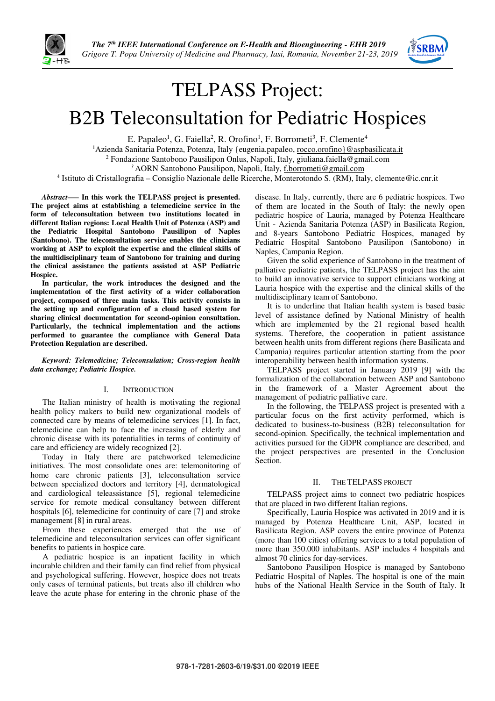



## TELPASS Project:

# B2B Teleconsultation for Pediatric Hospices

E. Papaleo<sup>1</sup>, G. Faiella<sup>2</sup>, R. Orofino<sup>1</sup>, F. Borrometi<sup>3</sup>, F. Clemente<sup>4</sup>

<sup>1</sup>Azienda Sanitaria Potenza, Potenza, Italy {eugenia.papaleo, rocco.orofino}@aspbasilicata.it

<sup>2</sup> Fondazione Santobono Pausilipon Onlus, Napoli, Italy, giuliana.faiella@gmail.com

<sup>3</sup> AORN Santobono Pausilipon, Napoli, Italy, f.borrometi@gmail.com

4 Istituto di Cristallografia – Consiglio Nazionale delle Ricerche, Monterotondo S. (RM), Italy, clemente@ic.cnr.it

*Abstract***—– In this work the TELPASS project is presented. The project aims at establishing a telemedicine service in the form of teleconsultation between two institutions located in different Italian regions: Local Health Unit of Potenza (ASP) and the Pediatric Hospital Santobono Pausilipon of Naples (Santobono). The teleconsultation service enables the clinicians working at ASP to exploit the expertise and the clinical skills of the multidisciplinary team of Santobono for training and during the clinical assistance the patients assisted at ASP Pediatric Hospice.** 

**In particular, the work introduces the designed and the implementation of the first activity of a wider collaboration project, composed of three main tasks. This activity consists in the setting up and configuration of a cloud based system for sharing clinical documentation for second-opinion consultation. Particularly, the technical implementation and the actions performed to guarantee the compliance with General Data Protection Regulation are described.** 

*Keyword: Telemedicine; Teleconsulation; Cross-region health data exchange; Pediatric Hospice.* 

## I. INTRODUCTION

The Italian ministry of health is motivating the regional health policy makers to build new organizational models of connected care by means of telemedicine services [1]. In fact, telemedicine can help to face the increasing of elderly and chronic disease with its potentialities in terms of continuity of care and efficiency are widely recognized [2].

Today in Italy there are patchworked telemedicine initiatives. The most consolidate ones are: telemonitoring of home care chronic patients [3], teleconsultation service between specialized doctors and territory [4], dermatological and cardiological teleassistance [5], regional telemedicine service for remote medical consultancy between different hospitals [6], telemedicine for continuity of care [7] and stroke management [8] in rural areas.

From these experiences emerged that the use of telemedicine and teleconsultation services can offer significant benefits to patients in hospice care.

A pediatric hospice is an inpatient facility in which incurable children and their family can find relief from physical and psychological suffering. However, hospice does not treats only cases of terminal patients, but treats also ill children who leave the acute phase for entering in the chronic phase of the

disease. In Italy, currently, there are 6 pediatric hospices. Two of them are located in the South of Italy: the newly open pediatric hospice of Lauria, managed by Potenza Healthcare Unit - Azienda Sanitaria Potenza (ASP) in Basilicata Region, and 8-years Santobono Pediatric Hospices, managed by Pediatric Hospital Santobono Pausilipon (Santobono) in Naples, Campania Region.

Given the solid experience of Santobono in the treatment of palliative pediatric patients, the TELPASS project has the aim to build an innovative service to support clinicians working at Lauria hospice with the expertise and the clinical skills of the multidisciplinary team of Santobono.

It is to underline that Italian health system is based basic level of assistance defined by National Ministry of health which are implemented by the 21 regional based health systems. Therefore, the cooperation in patient assistance between health units from different regions (here Basilicata and Campania) requires particular attention starting from the poor interoperability between health information systems.

TELPASS project started in January 2019 [9] with the formalization of the collaboration between ASP and Santobono in the framework of a Master Agreement about the management of pediatric palliative care.

In the following, the TELPASS project is presented with a particular focus on the first activity performed, which is dedicated to business-to-business (B2B) teleconsultation for second-opinion. Specifically, the technical implementation and activities pursued for the GDPR compliance are described, and the project perspectives are presented in the Conclusion Section.

## II. THE TELPASS PROJECT

TELPASS project aims to connect two pediatric hospices that are placed in two different Italian regions.

Specifically, Lauria Hospice was activated in 2019 and it is managed by Potenza Healthcare Unit, ASP, located in Basilicata Region. ASP covers the entire province of Potenza (more than 100 cities) offering services to a total population of more than 350.000 inhabitants. ASP includes 4 hospitals and almost 70 clinics for day-services.

Santobono Pausilipon Hospice is managed by Santobono Pediatric Hospital of Naples. The hospital is one of the main hubs of the National Health Service in the South of Italy. It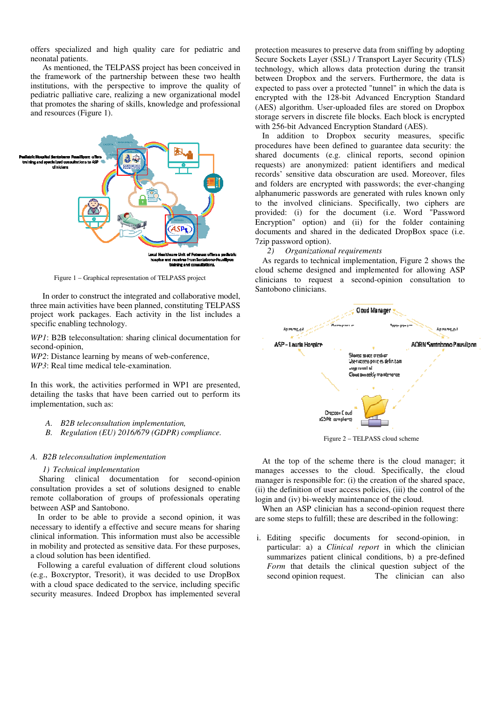offers specialized and high quality care for pediatric and neonatal patients.

As mentioned, the TELPASS project has been conceived in the framework of the partnership between these two health institutions, with the perspective to improve the quality of pediatric palliative care, realizing a new organizational model that promotes the sharing of skills, knowledge and professional and resources (Figure 1).



Figure 1 – Graphical representation of TELPASS project

In order to construct the integrated and collaborative model, three main activities have been planned, constituting TELPASS project work packages. Each activity in the list includes a specific enabling technology.

*WP1*: B2B teleconsultation: sharing clinical documentation for second-opinion,

*WP2*: Distance learning by means of web-conference,

*WP3*: Real time medical tele-examination.

In this work, the activities performed in WP1 are presented, detailing the tasks that have been carried out to perform its implementation, such as:

- *A. B2B teleconsultation implementation,*
- *B. Regulation (EU) 2016/679 (GDPR) compliance.*

### *A. B2B teleconsultation implementation*

## *1) Technical implementation*

Sharing clinical documentation for second-opinion consultation provides a set of solutions designed to enable remote collaboration of groups of professionals operating between ASP and Santobono.

In order to be able to provide a second opinion, it was necessary to identify a effective and secure means for sharing clinical information. This information must also be accessible in mobility and protected as sensitive data. For these purposes, a cloud solution has been identified.

Following a careful evaluation of different cloud solutions (e.g., Boxcryptor, Tresorit), it was decided to use DropBox with a cloud space dedicated to the service, including specific security measures. Indeed Dropbox has implemented several

protection measures to preserve data from sniffing by adopting Secure Sockets Layer (SSL) / Transport Layer Security (TLS) technology, which allows data protection during the transit between Dropbox and the servers. Furthermore, the data is expected to pass over a protected "tunnel" in which the data is encrypted with the 128-bit Advanced Encryption Standard (AES) algorithm. User-uploaded files are stored on Dropbox storage servers in discrete file blocks. Each block is encrypted with 256-bit Advanced Encryption Standard (AES).

In addition to Dropbox security measures, specific procedures have been defined to guarantee data security: the shared documents (e.g. clinical reports, second opinion requests) are anonymized: patient identifiers and medical records' sensitive data obscuration are used. Moreover, files and folders are encrypted with passwords; the ever-changing alphanumeric passwords are generated with rules known only to the involved clinicians. Specifically, two ciphers are provided: (i) for the document (i.e. Word "Password Encryption" option) and (ii) for the folder containing documents and shared in the dedicated DropBox space (i.e. 7zip password option).

## *2) Organizational requirements*

As regards to technical implementation, Figure 2 shows the cloud scheme designed and implemented for allowing ASP clinicians to request a second-opinion consultation to Santobono clinicians.



Figure 2 – TELPASS cloud scheme

At the top of the scheme there is the cloud manager; it manages accesses to the cloud. Specifically, the cloud manager is responsible for: (i) the creation of the shared space, (ii) the definition of user access policies, (iii) the control of the login and (iv) bi-weekly maintenance of the cloud.

When an ASP clinician has a second-opinion request there are some steps to fulfill; these are described in the following:

i. Editing specific documents for second-opinion, in particular: a) a *Clinical report* in which the clinician summarizes patient clinical conditions, b) a pre-defined Form that details the clinical question subject of the second opinion request. The clinician can also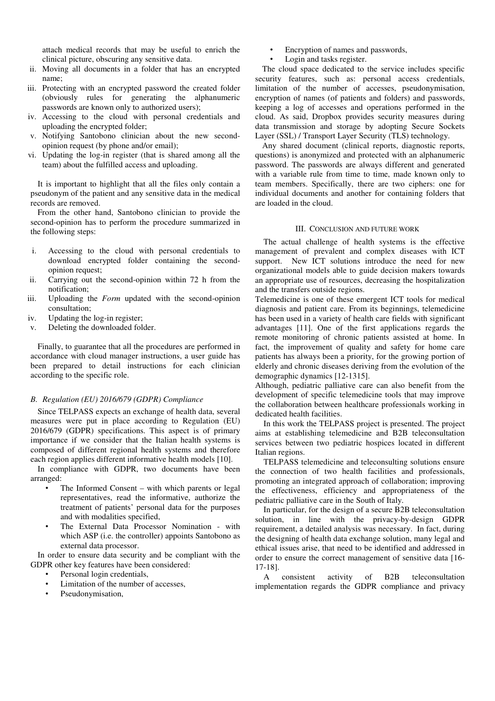attach medical records that may be useful to enrich the clinical picture, obscuring any sensitive data.

- ii. Moving all documents in a folder that has an encrypted name;
- iii. Protecting with an encrypted password the created folder (obviously rules for generating the alphanumeric passwords are known only to authorized users);
- iv. Accessing to the cloud with personal credentials and uploading the encrypted folder;
- v. Notifying Santobono clinician about the new secondopinion request (by phone and/or email);
- vi. Updating the log-in register (that is shared among all the team) about the fulfilled access and uploading.

It is important to highlight that all the files only contain a pseudonym of the patient and any sensitive data in the medical records are removed.

From the other hand, Santobono clinician to provide the second-opinion has to perform the procedure summarized in the following steps:

- i. Accessing to the cloud with personal credentials to download encrypted folder containing the secondopinion request;
- ii. Carrying out the second-opinion within 72 h from the notification;
- iii. Uploading the *Form* updated with the second-opinion consultation;
- iv. Updating the log-in register;
- v. Deleting the downloaded folder.

Finally, to guarantee that all the procedures are performed in accordance with cloud manager instructions, a user guide has been prepared to detail instructions for each clinician according to the specific role.

### *B. Regulation (EU) 2016/679 (GDPR) Compliance*

Since TELPASS expects an exchange of health data, several measures were put in place according to Regulation (EU) 2016/679 (GDPR) specifications. This aspect is of primary importance if we consider that the Italian health systems is composed of different regional health systems and therefore each region applies different informative health models [10].

In compliance with GDPR, two documents have been arranged:

- The Informed Consent with which parents or legal representatives, read the informative, authorize the treatment of patients' personal data for the purposes and with modalities specified,
- The External Data Processor Nomination with which ASP (*i.e.* the controller) appoints Santobono as external data processor.

In order to ensure data security and be compliant with the GDPR other key features have been considered:

- Personal login credentials,
- Limitation of the number of accesses,
- Pseudonymisation.
- Encryption of names and passwords,
- Login and tasks register.

The cloud space dedicated to the service includes specific security features, such as: personal access credentials, limitation of the number of accesses, pseudonymisation, encryption of names (of patients and folders) and passwords, keeping a log of accesses and operations performed in the cloud. As said, Dropbox provides security measures during data transmission and storage by adopting Secure Sockets Layer (SSL) / Transport Layer Security (TLS) technology.

Any shared document (clinical reports, diagnostic reports, questions) is anonymized and protected with an alphanumeric password. The passwords are always different and generated with a variable rule from time to time, made known only to team members. Specifically, there are two ciphers: one for individual documents and another for containing folders that are loaded in the cloud.

## III. CONCLUSION AND FUTURE WORK

The actual challenge of health systems is the effective management of prevalent and complex diseases with ICT support. New ICT solutions introduce the need for new organizational models able to guide decision makers towards an appropriate use of resources, decreasing the hospitalization and the transfers outside regions.

Telemedicine is one of these emergent ICT tools for medical diagnosis and patient care. From its beginnings, telemedicine has been used in a variety of health care fields with significant advantages [11]. One of the first applications regards the remote monitoring of chronic patients assisted at home. In fact, the improvement of quality and safety for home care patients has always been a priority, for the growing portion of elderly and chronic diseases deriving from the evolution of the demographic dynamics [12-1315].

Although, pediatric palliative care can also benefit from the development of specific telemedicine tools that may improve the collaboration between healthcare professionals working in dedicated health facilities.

In this work the TELPASS project is presented. The project aims at establishing telemedicine and B2B teleconsultation services between two pediatric hospices located in different Italian regions.

TELPASS telemedicine and teleconsulting solutions ensure the connection of two health facilities and professionals, promoting an integrated approach of collaboration; improving the effectiveness, efficiency and appropriateness of the pediatric palliative care in the South of Italy.

In particular, for the design of a secure B2B teleconsultation solution, in line with the privacy-by-design GDPR requirement, a detailed analysis was necessary. In fact, during the designing of health data exchange solution, many legal and ethical issues arise, that need to be identified and addressed in order to ensure the correct management of sensitive data [16- 17-18].

A consistent activity of B2B teleconsultation implementation regards the GDPR compliance and privacy